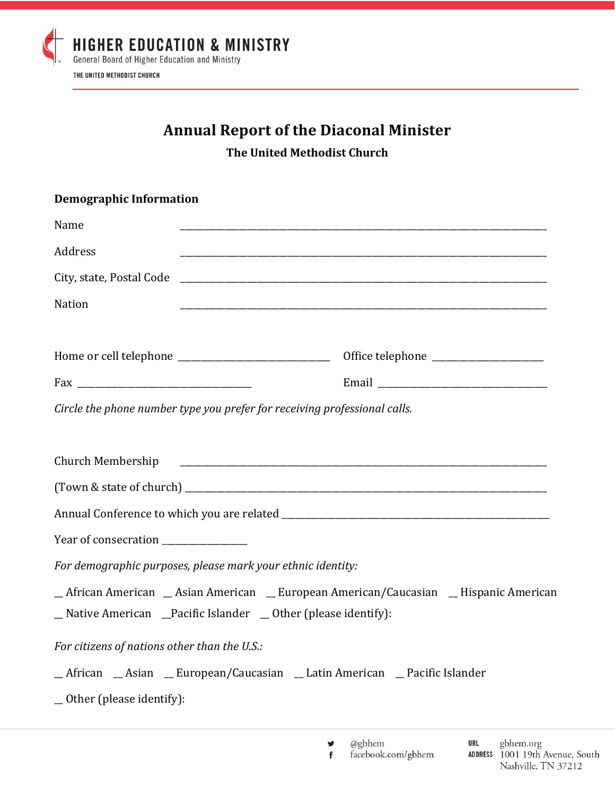

## **Annual Report of the Diaconal Minister**

**The United Methodist Church** 

| <b>Demographic Information</b>                              |                                                                                                                                                    |
|-------------------------------------------------------------|----------------------------------------------------------------------------------------------------------------------------------------------------|
| Name                                                        | and the control of the control of the control of the control of the control of the control of the control of the                                   |
| Address                                                     |                                                                                                                                                    |
|                                                             |                                                                                                                                                    |
| Nation                                                      |                                                                                                                                                    |
|                                                             | Office telephone ______________________                                                                                                            |
|                                                             |                                                                                                                                                    |
|                                                             | Circle the phone number type you prefer for receiving professional calls.                                                                          |
| Church Membership                                           |                                                                                                                                                    |
|                                                             |                                                                                                                                                    |
|                                                             |                                                                                                                                                    |
| Year of consecration _______________                        |                                                                                                                                                    |
| For demographic purposes, please mark your ethnic identity: |                                                                                                                                                    |
|                                                             | _African American _Asian American _European American/Caucasian _Hispanic American<br>_Native American _Pacific Islander _ Other (please identify): |
| For citizens of nations other than the U.S.:                |                                                                                                                                                    |
|                                                             | _African _Asian _European/Caucasian _Latin American _Pacific Islander                                                                              |
| _ Other (please identify):                                  |                                                                                                                                                    |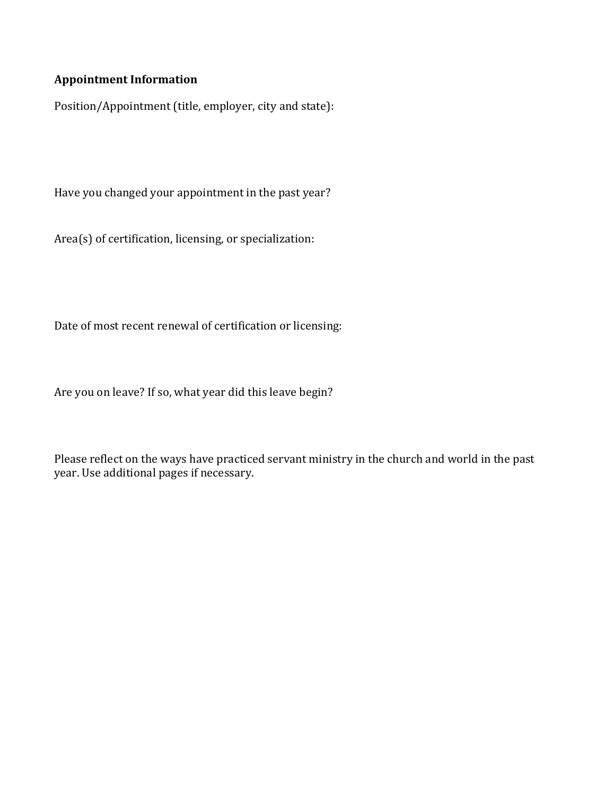## **Appointment Information**

Position/Appointment (title, employer, city and state):

Have you changed your appointment in the past year?

 $Area(s)$  of certification, licensing, or specialization:

Date of most recent renewal of certification or licensing:

Are you on leave? If so, what year did this leave begin?

Please reflect on the ways have practiced servant ministry in the church and world in the past year. Use additional pages if necessary.